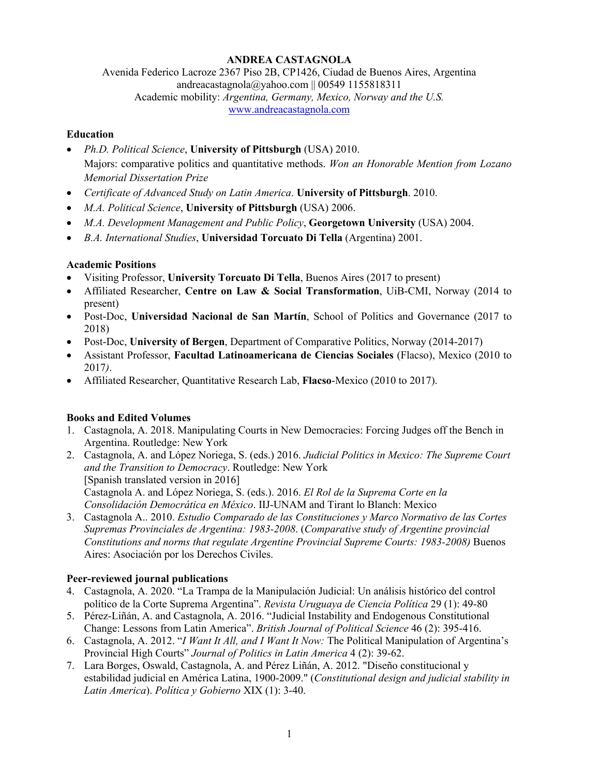## **ANDREA CASTAGNOLA**

Avenida Federico Lacroze 2367 Piso 2B, CP1426, Ciudad de Buenos Aires, Argentina andreacastagnola@yahoo.com || 00549 1155818311 Academic mobility: *Argentina, Germany, Mexico, Norway and the U.S.* www.andreacastagnola.com

#### **Education**

- *Ph.D. Political Science*, **University of Pittsburgh** (USA) 2010. Majors: comparative politics and quantitative methods. *Won an Honorable Mention from Lozano Memorial Dissertation Prize*
- *Certificate of Advanced Study on Latin America*. **University of Pittsburgh**. 2010.
- *M.A. Political Science*, **University of Pittsburgh** (USA) 2006.
- *M.A. Development Management and Public Policy*, **Georgetown University** (USA) 2004.
- *B.A. International Studies*, **Universidad Torcuato Di Tella** (Argentina) 2001.

## **Academic Positions**

- Visiting Professor, **University Torcuato Di Tella**, Buenos Aires (2017 to present)
- Affiliated Researcher, **Centre on Law & Social Transformation**, UiB-CMI, Norway (2014 to present)
- Post-Doc, **Universidad Nacional de San Martín**, School of Politics and Governance (2017 to 2018)
- Post-Doc, University of Bergen, Department of Comparative Politics, Norway (2014-2017)
- Assistant Professor, **Facultad Latinoamericana de Ciencias Sociales** (Flacso), Mexico (2010 to 2017*)*.
- Affiliated Researcher, Quantitative Research Lab, **Flacso**-Mexico (2010 to 2017).

# **Books and Edited Volumes**

- 1. Castagnola, A. 2018. Manipulating Courts in New Democracies: Forcing Judges off the Bench in Argentina. Routledge: New York
- 2. Castagnola, A. and López Noriega, S. (eds.) 2016. *Judicial Politics in Mexico: The Supreme Court and the Transition to Democracy*. Routledge: New York [Spanish translated version in 2016] Castagnola A. and López Noriega, S. (eds.). 2016. *El Rol de la Suprema Corte en la Consolidación Democrática en México*. IIJ-UNAM and Tirant lo Blanch: Mexico
- 3. Castagnola A.. 2010. *Estudio Comparado de las Constituciones y Marco Normativo de las Cortes Supremas Provinciales de Argentina: 1983-2008*. (*Comparative study of Argentine provincial Constitutions and norms that regulate Argentine Provincial Supreme Courts: 1983-2008)* Buenos Aires: Asociación por los Derechos Civiles.

## **Peer-reviewed journal publications**

- 4. Castagnola, A. 2020. "La Trampa de la Manipulación Judicial: Un análisis histórico del control político de la Corte Suprema Argentina". *Revista Uruguaya de Ciencia Política* 29 (1): 49-80
- 5. Pérez-Liñán, A. and Castagnola, A. 2016. "Judicial Instability and Endogenous Constitutional Change: Lessons from Latin America". *British Journal of Political Science* 46 (2): 395-416.
- 6. Castagnola, A. 2012. "*I Want It All, and I Want It Now:* The Political Manipulation of Argentina's Provincial High Courts" *Journal of Politics in Latin America* 4 (2): 39-62.
- 7. Lara Borges, Oswald, Castagnola, A. and Pérez Liñán, A. 2012. "Diseño constitucional y estabilidad judicial en América Latina, 1900-2009." (*Constitutional design and judicial stability in Latin America*). *Política y Gobierno* XIX (1): 3-40.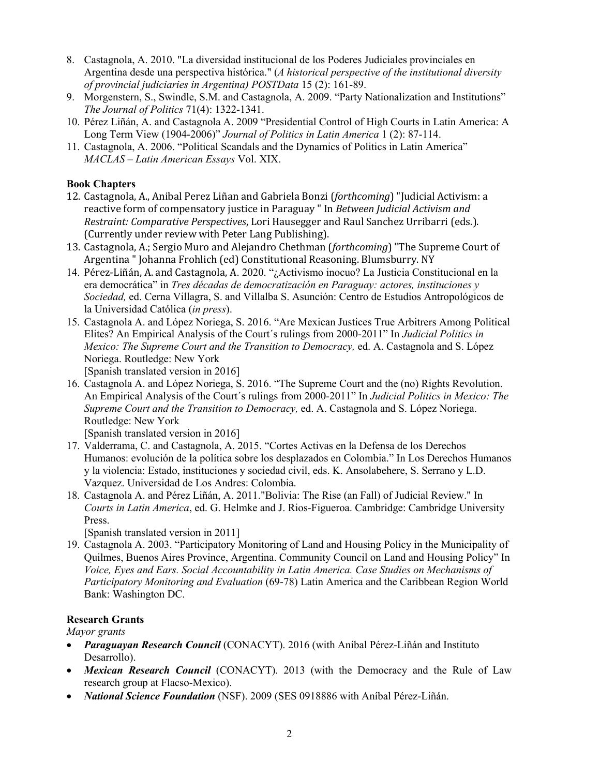- 8. Castagnola, A. 2010. "La diversidad institucional de los Poderes Judiciales provinciales en Argentina desde una perspectiva histórica." (*A historical perspective of the institutional diversity of provincial judiciaries in Argentina) POSTData* 15 (2): 161-89.
- 9. Morgenstern, S., Swindle, S.M. and Castagnola, A. 2009. "Party Nationalization and Institutions" *The Journal of Politics* 71(4): 1322-1341.
- 10. Pérez Liñán, A. and Castagnola A. 2009 "Presidential Control of High Courts in Latin America: A Long Term View (1904-2006)" *Journal of Politics in Latin America* 1 (2): 87-114.
- 11. Castagnola, A. 2006. "Political Scandals and the Dynamics of Politics in Latin America" *MACLAS – Latin American Essays* Vol. XIX.

#### **Book Chapters**

- 12. Castagnola, A., Anibal Perez Liñan and Gabriela Bonzi (*forthcoming*) "Judicial Activism: a reactive form of compensatory justice in Paraguay " In *Between Judicial Activism and Restraint: Comparative Perspectives*, Lori Hausegger and Raul Sanchez Urribarri (eds.). (Currently under review with Peter Lang Publishing).
- 13. Castagnola, A.; Sergio Muro and Alejandro Chethman (*forthcoming*) "The Supreme Court of Argentina " Johanna Frohlich (ed) Constitutional Reasoning. Blumsburry. NY
- 14. Pérez-Liñán, A. and Castagnola, A. 2020. "¿Activismo inocuo? La Justicia Constitucional en la era democrática" in *Tres décadas de democratización en Paraguay: actores, instituciones y Sociedad,* ed. Cerna Villagra, S. and Villalba S. Asunción: Centro de Estudios Antropológicos de la Universidad Católica (*in press*).
- 15. Castagnola A. and López Noriega, S. 2016. "Are Mexican Justices True Arbitrers Among Political Elites? An Empirical Analysis of the Court´s rulings from 2000-2011" In *Judicial Politics in Mexico: The Supreme Court and the Transition to Democracy,* ed. A. Castagnola and S. López Noriega. Routledge: New York

[Spanish translated version in 2016]

16. Castagnola A. and López Noriega, S. 2016. "The Supreme Court and the (no) Rights Revolution. An Empirical Analysis of the Court´s rulings from 2000-2011" In *Judicial Politics in Mexico: The Supreme Court and the Transition to Democracy,* ed. A. Castagnola and S. López Noriega. Routledge: New York

[Spanish translated version in 2016]

- 17. Valderrama, C. and Castagnola, A. 2015. "Cortes Activas en la Defensa de los Derechos Humanos: evolución de la política sobre los desplazados en Colombia." In Los Derechos Humanos y la violencia: Estado, instituciones y sociedad civil, eds. K. Ansolabehere, S. Serrano y L.D. Vazquez. Universidad de Los Andres: Colombia.
- 18. Castagnola A. and Pérez Liñán, A. 2011."Bolivia: The Rise (an Fall) of Judicial Review." In *Courts in Latin America*, ed. G. Helmke and J. Rios-Figueroa. Cambridge: Cambridge University Press.

[Spanish translated version in 2011]

19. Castagnola A. 2003. "Participatory Monitoring of Land and Housing Policy in the Municipality of Quilmes, Buenos Aires Province, Argentina. Community Council on Land and Housing Policy" In *Voice, Eyes and Ears. Social Accountability in Latin America. Case Studies on Mechanisms of Participatory Monitoring and Evaluation* (69-78) Latin America and the Caribbean Region World Bank: Washington DC.

## **Research Grants**

*Mayor grants*

- *Paraguayan Research Council* (CONACYT). 2016 (with Aníbal Pérez-Liñán and Instituto Desarrollo).
- *Mexican Research Council* (CONACYT). 2013 (with the Democracy and the Rule of Law research group at Flacso-Mexico).
- *National Science Foundation* (NSF). 2009 (SES 0918886 with Aníbal Pérez-Liñán.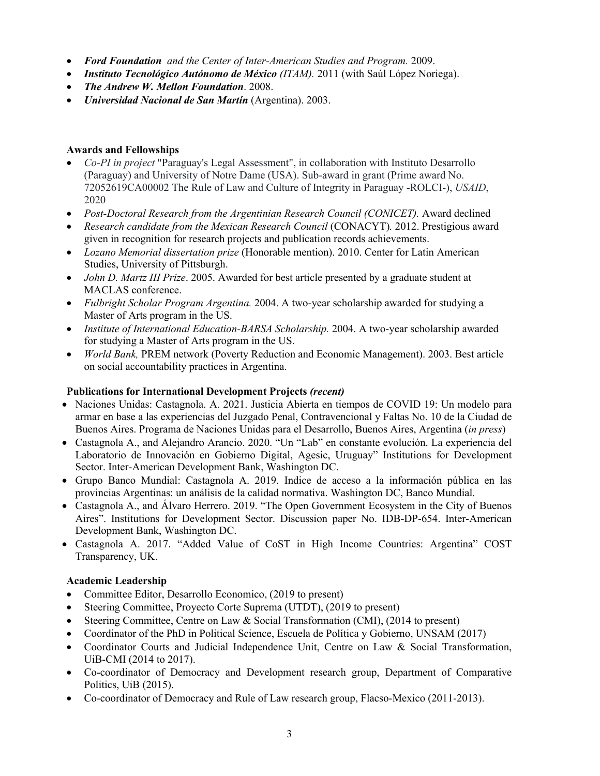- *Ford Foundation and the Center of Inter-American Studies and Program.* 2009.
- *Instituto Tecnológico Autónomo de México (ITAM).* 2011 (with Saúl López Noriega).
- *The Andrew W. Mellon Foundation*. 2008.
- *Universidad Nacional de San Martín* (Argentina). 2003.

#### **Awards and Fellowships**

- *Co-PI in project* "Paraguay's Legal Assessment", in collaboration with Instituto Desarrollo (Paraguay) and University of Notre Dame (USA). Sub-award in grant (Prime award No. 72052619CA00002 The Rule of Law and Culture of Integrity in Paraguay -ROLCI-), *USAID*, 2020
- *Post-Doctoral Research from the Argentinian Research Council (CONICET).* Award declined
- *Research candidate from the Mexican Research Council* (CONACYT)*.* 2012. Prestigious award given in recognition for research projects and publication records achievements.
- *Lozano Memorial dissertation prize* (Honorable mention). 2010. Center for Latin American Studies, University of Pittsburgh.
- *John D. Martz III Prize*. 2005. Awarded for best article presented by a graduate student at MACLAS conference.
- *Fulbright Scholar Program Argentina.* 2004. A two-year scholarship awarded for studying a Master of Arts program in the US.
- *Institute of International Education-BARSA Scholarship.* 2004. A two-year scholarship awarded for studying a Master of Arts program in the US.
- *World Bank,* PREM network (Poverty Reduction and Economic Management). 2003. Best article on social accountability practices in Argentina.

#### **Publications for International Development Projects** *(recent)*

- Naciones Unidas: Castagnola. A. 2021. Justicia Abierta en tiempos de COVID 19: Un modelo para armar en base a las experiencias del Juzgado Penal, Contravencional y Faltas No. 10 de la Ciudad de Buenos Aires. Programa de Naciones Unidas para el Desarrollo, Buenos Aires, Argentina (*in press*)
- Castagnola A., and Alejandro Arancio. 2020. "Un "Lab" en constante evolución. La experiencia del Laboratorio de Innovación en Gobierno Digital, Agesic, Uruguay" Institutions for Development Sector. Inter-American Development Bank, Washington DC.
- Grupo Banco Mundial: Castagnola A. 2019. Indice de acceso a la información pública en las provincias Argentinas: un análisis de la calidad normativa. Washington DC, Banco Mundial.
- Castagnola A., and Álvaro Herrero. 2019. "The Open Government Ecosystem in the City of Buenos Aires". Institutions for Development Sector. Discussion paper No. IDB-DP-654. Inter-American Development Bank, Washington DC.
- Castagnola A. 2017. "Added Value of CoST in High Income Countries: Argentina" COST Transparency, UK.

## **Academic Leadership**

- Committee Editor, Desarrollo Economico, (2019 to present)
- Steering Committee, Proyecto Corte Suprema (UTDT), (2019 to present)
- Steering Committee, Centre on Law & Social Transformation (CMI), (2014 to present)
- Coordinator of the PhD in Political Science, Escuela de Política y Gobierno, UNSAM (2017)
- Coordinator Courts and Judicial Independence Unit, Centre on Law & Social Transformation, UiB-CMI (2014 to 2017).
- Co-coordinator of Democracy and Development research group, Department of Comparative Politics, UiB (2015).
- Co-coordinator of Democracy and Rule of Law research group, Flacso-Mexico (2011-2013).